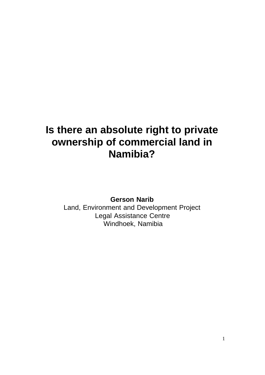## **Is there an absolute right to private ownership of commercial land in Namibia?**

**Gerson Narib**

Land, Environment and Development Project Legal Assistance Centre Windhoek, Namibia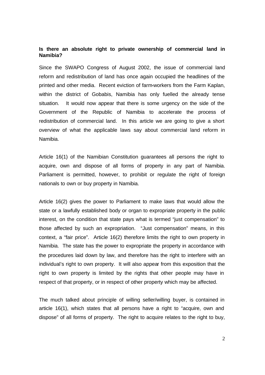## **Is there an absolute right to private ownership of commercial land in Namibia?**

Since the SWAPO Congress of August 2002, the issue of commercial land reform and redistribution of land has once again occupied the headlines of the printed and other media. Recent eviction of farm-workers from the Farm Kaplan, within the district of Gobabis, Namibia has only fuelled the already tense situation. It would now appear that there is some urgency on the side of the Government of the Republic of Namibia to accelerate the process of redistribution of commercial land. In this article we are going to give a short overview of what the applicable laws say about commercial land reform in Namibia.

Article 16(1) of the Namibian Constitution guarantees all persons the right to acquire, own and dispose of all forms of property in any part of Namibia. Parliament is permitted, however, to prohibit or regulate the right of foreign nationals to own or buy property in Namibia.

Article 16(2) gives the power to Parliament to make laws that would allow the state or a lawfully established body or organ to expropriate property in the public interest, on the condition that state pays what is termed "just compensation" to those affected by such an expropriation. "Just compensation" means, in this context, a "fair price". Article 16(2) therefore limits the right to own property in Namibia. The state has the power to expropriate the property in accordance with the procedures laid down by law, and therefore has the right to interfere with an individual's right to own property. It will also appear from this exposition that the right to own property is limited by the rights that other people may have in respect of that property, or in respect of other property which may be affected.

The much talked about principle of willing seller/willing buyer, is contained in article 16(1), which states that all persons have a right to "acquire, own and dispose" of all forms of property. The right to acquire relates to the right to buy,

2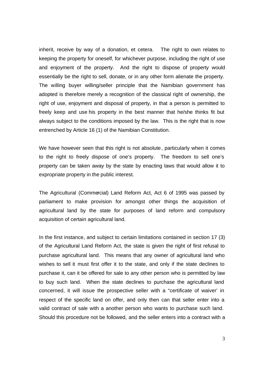inherit, receive by way of a donation, et cetera. The right to own relates to keeping the property for oneself, for whichever purpose, including the right of use and enjoyment of the property. And the right to dispose of property would essentially be the right to sell, donate, or in any other form alienate the property. The willing buyer willing/seller principle that the Namibian government has adopted is therefore merely a recognition of the classical right of ownership, the right of use, enjoyment and disposal of property, in that a person is permitted to freely keep and use his property in the best manner that he/she thinks fit but always subject to the conditions imposed by the law. This is the right that is now entrenched by Article 16 (1) of the Namibian Constitution.

We have however seen that this right is not absolute, particularly when it comes to the right to freely dispose of one's property. The freedom to sell one's property can be taken away by the state by enacting laws that would allow it to expropriate property in the public interest.

The Agricultural (Commercial) Land Reform Act, Act 6 of 1995 was passed by parliament to make provision for amongst other things the acquisition of agricultural land by the state for purposes of land reform and compulsory acquisition of certain agricultural land.

In the first instance, and subject to certain limitations contained in section 17 (3) of the Agricultural Land Reform Act, the state is given the right of first refusal to purchase agricultural land. This means that any owner of agricultural land who wishes to sell it must first offer it to the state, and only if the state declines to purchase it, can it be offered for sale to any other person who is permitted by law to buy such land. When the state declines to purchase the agricultural land concerned, it will issue the prospective seller with a "certificate of waiver' in respect of the specific land on offer, and only then can that seller enter into a valid contract of sale with a another person who wants to purchase such land. Should this procedure not be followed, and the seller enters into a contract with a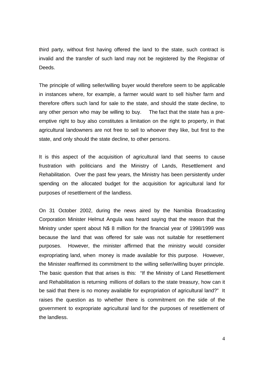third party, without first having offered the land to the state, such contract is invalid and the transfer of such land may not be registered by the Registrar of Deeds.

The principle of willing seller/willing buyer would therefore seem to be applicable in instances where, for example, a farmer would want to sell his/her farm and therefore offers such land for sale to the state, and should the state decline, to any other person who may be willing to buy. The fact that the state has a preemptive right to buy also constitutes a limitation on the right to property, in that agricultural landowners are not free to sell to whoever they like, but first to the state, and only should the state decline, to other persons.

It is this aspect of the acquisition of agricultural land that seems to cause frustration with politicians and the Ministry of Lands, Resettlement and Rehabilitation. Over the past few years, the Ministry has been persistently under spending on the allocated budget for the acquisition for agricultural land for purposes of resettlement of the landless.

On 31 October 2002, during the news aired by the Namibia Broadcasting Corporation Minister Helmut Angula was heard saying that the reason that the Ministry under spent about N\$ 8 million for the financial year of 1998/1999 was because the land that was offered for sale was not suitable for resettlement purposes. However, the minister affirmed that the ministry would consider expropriating land, when money is made available for this purpose. However, the Minister reaffirmed its commitment to the willing seller/willing buyer principle. The basic question that that arises is this: "If the Ministry of Land Resettlement and Rehabilitation is returning millions of dollars to the state treasury, how can it be said that there is no money available for expropriation of agricultural land?" It raises the question as to whether there is commitment on the side of the government to expropriate agricultural land for the purposes of resettlement of the landless.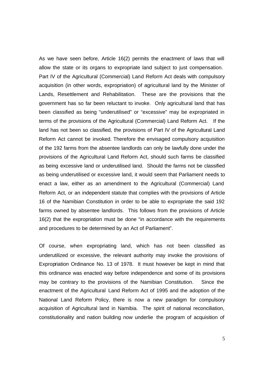As we have seen before, Article 16(2) permits the enactment of laws that will allow the state or its organs to expropriate land subject to just compensation. Part IV of the Agricultural (Commercial) Land Reform Act deals with compulsory acquisition (in other words, expropriation) of agricultural land by the Minister of Lands, Resettlement and Rehabilitation. These are the provisions that the government has so far been reluctant to invoke. Only agricultural land that has been classified as being "underutilised" or "excessive" may be expropriated in terms of the provisions of the Agricultural (Commercial) Land Reform Act. If the land has not been so classified, the provisions of Part IV of the Agricultural Land Reform Act cannot be invoked. Therefore the envisaged compulsory acquisition of the 192 farms from the absentee landlords can only be lawfully done under the provisions of the Agricultural Land Reform Act, should such farms be classified as being excessive land or underutilised land. Should the farms not be classified as being underutilised or excessive land, it would seem that Parliament needs to enact a law, either as an amendment to the Agricultural (Commercial) Land Reform Act, or an independent statute that complies with the provisions of Article 16 of the Namibian Constitution in order to be able to expropriate the said 192 farms owned by absentee landlords. This follows from the provisions of Article 16(2) that the expropriation must be done "in accordance with the requirements and procedures to be determined by an Act of Parliament".

Of course, when expropriating land, which has not been classified as underutilized or excessive, the relevant authority may invoke the provisions of Expropriation Ordinance No. 13 of 1978. It must however be kept in mind that this ordinance was enacted way before independence and some of its provisions may be contrary to the provisions of the Namibian Constitution. Since the enactment of the Agricultural Land Reform Act of 1995 and the adoption of the National Land Reform Policy, there is now a new paradigm for compulsory acquisition of Agricultural land in Namibia. The spirit of national reconciliation, constitutionality and nation building now underlie the program of acquisition of

5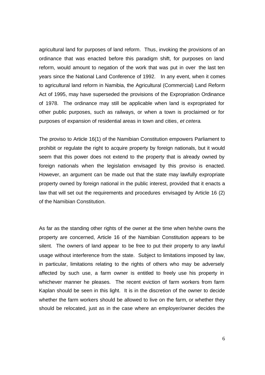agricultural land for purposes of land reform. Thus, invoking the provisions of an ordinance that was enacted before this paradigm shift, for purposes on land reform, would amount to negation of the work that was put in over the last ten years since the National Land Conference of 1992. In any event, when it comes to agricultural land reform in Namibia, the Agricultural (Commercial) Land Reform Act of 1995, may have superseded the provisions of the Expropriation Ordinance of 1978. The ordinance may still be applicable when land is expropriated for other public purposes, such as railways, or when a town is proclaimed or for purposes of expansion of residential areas in town and cities, *et cetera*.

The proviso to Article 16(1) of the Namibian Constitution empowers Parliament to prohibit or regulate the right to acquire property by foreign nationals, but it would seem that this power does not extend to the property that is already owned by foreign nationals when the legislation envisaged by this proviso is enacted. However, an argument can be made out that the state may lawfully expropriate property owned by foreign national in the public interest, provided that it enacts a law that will set out the requirements and procedures envisaged by Article 16 (2) of the Namibian Constitution.

As far as the standing other rights of the owner at the time when he/she owns the property are concerned, Article 16 of the Namibian Constitution appears to be silent. The owners of land appear to be free to put their property to any lawful usage without interference from the state. Subject to limitations imposed by law, in particular, limitations relating to the rights of others who may be adversely affected by such use, a farm owner is entitled to freely use his property in whichever manner he pleases. The recent eviction of farm workers from farm Kaplan should be seen in this light. It is in the discretion of the owner to decide whether the farm workers should be allowed to live on the farm, or whether they should be relocated, just as in the case where an employer/owner decides the